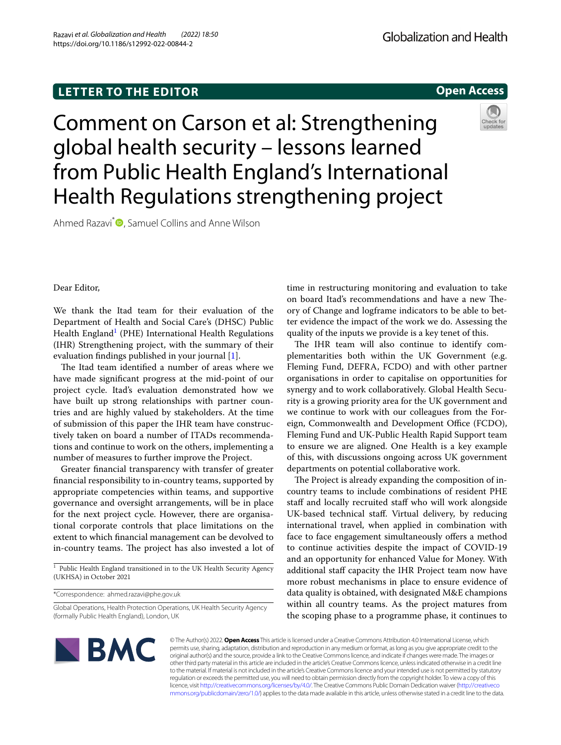# **LETTER TO THE EDITOR**

**Open Access**

Comment on Carson et al: Strengthening global health security – lessons learned from Public Health England's International Health Regulations strengthening project

Ahmed Razavi<sup>\*</sup> **D**[,](http://orcid.org/0000-0002-1476-1471) Samuel Collins and Anne Wilson



Dear Editor,

We thank the Itad team for their evaluation of the Department of Health and Social Care's (DHSC) Public Health England<sup>[1](#page-0-0)</sup> (PHE) International Health Regulations (IHR) Strengthening project, with the summary of their evaluation fndings published in your journal [\[1](#page-1-0)].

The Itad team identified a number of areas where we have made signifcant progress at the mid-point of our project cycle. Itad's evaluation demonstrated how we have built up strong relationships with partner countries and are highly valued by stakeholders. At the time of submission of this paper the IHR team have constructively taken on board a number of ITADs recommendations and continue to work on the others, implementing a number of measures to further improve the Project.

Greater fnancial transparency with transfer of greater fnancial responsibility to in-country teams, supported by appropriate competencies within teams, and supportive governance and oversight arrangements, will be in place for the next project cycle. However, there are organisational corporate controls that place limitations on the extent to which fnancial management can be devolved to in-country teams. The project has also invested a lot of

<span id="page-0-0"></span> $\frac{1}{1}$  Public Health England transitioned in to the UK Health Security Agency (UKHSA) in October 2021

\*Correspondence: ahmed.razavi@phe.gov.uk

time in restructuring monitoring and evaluation to take on board Itad's recommendations and have a new Theory of Change and logframe indicators to be able to better evidence the impact of the work we do. Assessing the quality of the inputs we provide is a key tenet of this.

The IHR team will also continue to identify complementarities both within the UK Government (e.g. Fleming Fund, DEFRA, FCDO) and with other partner organisations in order to capitalise on opportunities for synergy and to work collaboratively. Global Health Security is a growing priority area for the UK government and we continue to work with our colleagues from the Foreign, Commonwealth and Development Office (FCDO), Fleming Fund and UK-Public Health Rapid Support team to ensure we are aligned. One Health is a key example of this, with discussions ongoing across UK government departments on potential collaborative work.

The Project is already expanding the composition of incountry teams to include combinations of resident PHE staff and locally recruited staff who will work alongside UK-based technical staf. Virtual delivery, by reducing international travel, when applied in combination with face to face engagement simultaneously offers a method to continue activities despite the impact of COVID-19 and an opportunity for enhanced Value for Money. With additional staff capacity the IHR Project team now have more robust mechanisms in place to ensure evidence of data quality is obtained, with designated M&E champions within all country teams. As the project matures from the scoping phase to a programme phase, it continues to



© The Author(s) 2022. **Open Access** This article is licensed under a Creative Commons Attribution 4.0 International License, which permits use, sharing, adaptation, distribution and reproduction in any medium or format, as long as you give appropriate credit to the original author(s) and the source, provide a link to the Creative Commons licence, and indicate if changes were made. The images or other third party material in this article are included in the article's Creative Commons licence, unless indicated otherwise in a credit line to the material. If material is not included in the article's Creative Commons licence and your intended use is not permitted by statutory regulation or exceeds the permitted use, you will need to obtain permission directly from the copyright holder. To view a copy of this licence, visit [http://creativecommons.org/licenses/by/4.0/.](http://creativecommons.org/licenses/by/4.0/) The Creative Commons Public Domain Dedication waiver ([http://creativeco](http://creativecommons.org/publicdomain/zero/1.0/) [mmons.org/publicdomain/zero/1.0/](http://creativecommons.org/publicdomain/zero/1.0/)) applies to the data made available in this article, unless otherwise stated in a credit line to the data.

Global Operations, Health Protection Operations, UK Health Security Agency (formally Public Health England), London, UK